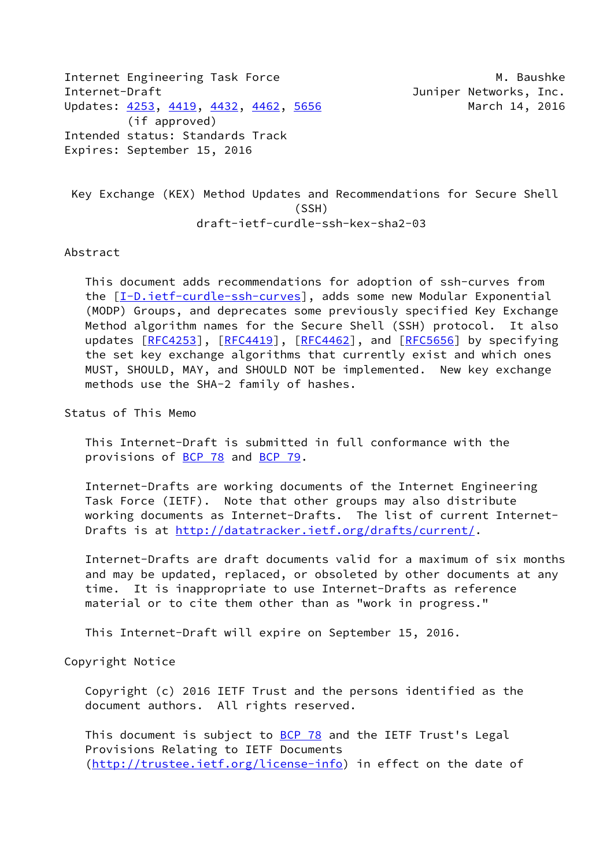Internet Engineering Task Force M. Baushke Internet-Draft **Internet-Draft Juniper Networks**, Inc. Updates: [4253](https://datatracker.ietf.org/doc/pdf/rfc4253), [4419,](https://datatracker.ietf.org/doc/pdf/rfc4419) [4432](https://datatracker.ietf.org/doc/pdf/rfc4432), [4462](https://datatracker.ietf.org/doc/pdf/rfc4462), [5656](https://datatracker.ietf.org/doc/pdf/rfc5656) March 14, 2016 (if approved) Intended status: Standards Track Expires: September 15, 2016

 Key Exchange (KEX) Method Updates and Recommendations for Secure Shell (SSH) draft-ietf-curdle-ssh-kex-sha2-03

## Abstract

 This document adds recommendations for adoption of ssh-curves from the [\[I-D.ietf-curdle-ssh-curves\]](#page-6-0), adds some new Modular Exponential (MODP) Groups, and deprecates some previously specified Key Exchange Method algorithm names for the Secure Shell (SSH) protocol. It also updates [\[RFC4253](https://datatracker.ietf.org/doc/pdf/rfc4253)], [[RFC4419\]](https://datatracker.ietf.org/doc/pdf/rfc4419), [[RFC4462](https://datatracker.ietf.org/doc/pdf/rfc4462)], and [\[RFC5656](https://datatracker.ietf.org/doc/pdf/rfc5656)] by specifying the set key exchange algorithms that currently exist and which ones MUST, SHOULD, MAY, and SHOULD NOT be implemented. New key exchange methods use the SHA-2 family of hashes.

Status of This Memo

 This Internet-Draft is submitted in full conformance with the provisions of [BCP 78](https://datatracker.ietf.org/doc/pdf/bcp78) and [BCP 79](https://datatracker.ietf.org/doc/pdf/bcp79).

 Internet-Drafts are working documents of the Internet Engineering Task Force (IETF). Note that other groups may also distribute working documents as Internet-Drafts. The list of current Internet- Drafts is at<http://datatracker.ietf.org/drafts/current/>.

 Internet-Drafts are draft documents valid for a maximum of six months and may be updated, replaced, or obsoleted by other documents at any time. It is inappropriate to use Internet-Drafts as reference material or to cite them other than as "work in progress."

This Internet-Draft will expire on September 15, 2016.

Copyright Notice

 Copyright (c) 2016 IETF Trust and the persons identified as the document authors. All rights reserved.

This document is subject to **[BCP 78](https://datatracker.ietf.org/doc/pdf/bcp78)** and the IETF Trust's Legal Provisions Relating to IETF Documents [\(http://trustee.ietf.org/license-info](http://trustee.ietf.org/license-info)) in effect on the date of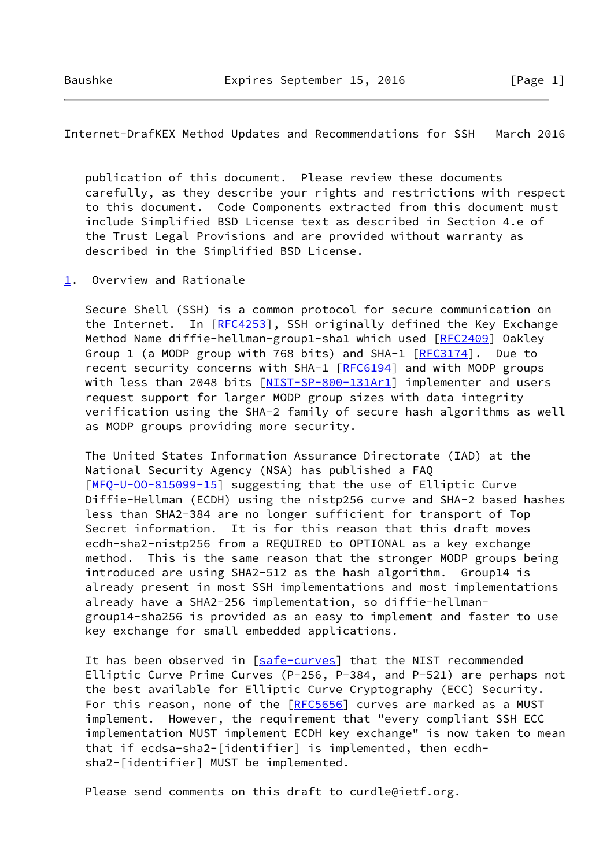Internet-DrafKEX Method Updates and Recommendations for SSH March 2016

 publication of this document. Please review these documents carefully, as they describe your rights and restrictions with respect to this document. Code Components extracted from this document must include Simplified BSD License text as described in Section 4.e of the Trust Legal Provisions and are provided without warranty as described in the Simplified BSD License.

<span id="page-1-0"></span>[1](#page-1-0). Overview and Rationale

 Secure Shell (SSH) is a common protocol for secure communication on the Internet. In [[RFC4253](https://datatracker.ietf.org/doc/pdf/rfc4253)], SSH originally defined the Key Exchange Method Name diffie-hellman-group1-sha1 which used [[RFC2409](https://datatracker.ietf.org/doc/pdf/rfc2409)] Oakley Group 1 (a MODP group with 768 bits) and SHA-1 [\[RFC3174](https://datatracker.ietf.org/doc/pdf/rfc3174)]. Due to recent security concerns with SHA-1 [\[RFC6194](https://datatracker.ietf.org/doc/pdf/rfc6194)] and with MODP groups with less than 2048 bits [\[NIST-SP-800-131Ar1\]](#page-6-1) implementer and users request support for larger MODP group sizes with data integrity verification using the SHA-2 family of secure hash algorithms as well as MODP groups providing more security.

 The United States Information Assurance Directorate (IAD) at the National Security Agency (NSA) has published a FAQ [\[MFQ-U-OO-815099-15\]](#page-6-2) suggesting that the use of Elliptic Curve Diffie-Hellman (ECDH) using the nistp256 curve and SHA-2 based hashes less than SHA2-384 are no longer sufficient for transport of Top Secret information. It is for this reason that this draft moves ecdh-sha2-nistp256 from a REQUIRED to OPTIONAL as a key exchange method. This is the same reason that the stronger MODP groups being introduced are using SHA2-512 as the hash algorithm. Group14 is already present in most SSH implementations and most implementations already have a SHA2-256 implementation, so diffie-hellman group14-sha256 is provided as an easy to implement and faster to use key exchange for small embedded applications.

It has been observed in [\[safe-curves](#page-7-0)] that the NIST recommended Elliptic Curve Prime Curves (P-256, P-384, and P-521) are perhaps not the best available for Elliptic Curve Cryptography (ECC) Security. For this reason, none of the [\[RFC5656](https://datatracker.ietf.org/doc/pdf/rfc5656)] curves are marked as a MUST implement. However, the requirement that "every compliant SSH ECC implementation MUST implement ECDH key exchange" is now taken to mean that if ecdsa-sha2-[identifier] is implemented, then ecdh sha2-[identifier] MUST be implemented.

Please send comments on this draft to curdle@ietf.org.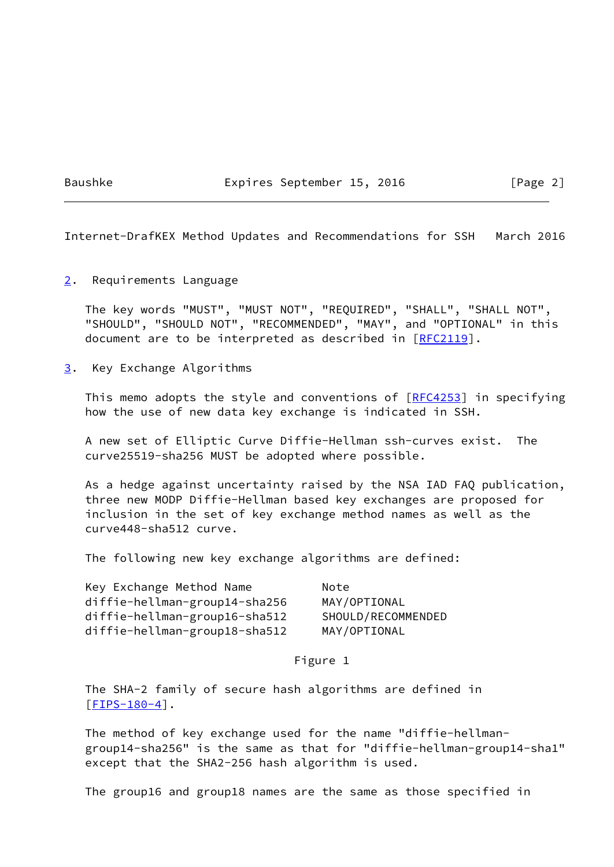Baushke Expires September 15, 2016 [Page 2]

Internet-DrafKEX Method Updates and Recommendations for SSH March 2016

<span id="page-2-0"></span>[2](#page-2-0). Requirements Language

 The key words "MUST", "MUST NOT", "REQUIRED", "SHALL", "SHALL NOT", "SHOULD", "SHOULD NOT", "RECOMMENDED", "MAY", and "OPTIONAL" in this document are to be interpreted as described in [\[RFC2119](https://datatracker.ietf.org/doc/pdf/rfc2119)].

<span id="page-2-1"></span>[3](#page-2-1). Key Exchange Algorithms

This memo adopts the style and conventions of  $[REC4253]$  in specifying how the use of new data key exchange is indicated in SSH.

 A new set of Elliptic Curve Diffie-Hellman ssh-curves exist. The curve25519-sha256 MUST be adopted where possible.

 As a hedge against uncertainty raised by the NSA IAD FAQ publication, three new MODP Diffie-Hellman based key exchanges are proposed for inclusion in the set of key exchange method names as well as the curve448-sha512 curve.

The following new key exchange algorithms are defined:

| Key Exchange Method Name      | Note               |
|-------------------------------|--------------------|
| diffie-hellman-group14-sha256 | MAY/OPTIONAL       |
| diffie-hellman-group16-sha512 | SHOULD/RECOMMENDED |
| diffie-hellman-group18-sha512 | MAY/OPTIONAL       |

Figure 1

 The SHA-2 family of secure hash algorithms are defined in [\[FIPS-180-4\]](#page-5-0).

 The method of key exchange used for the name "diffie-hellman group14-sha256" is the same as that for "diffie-hellman-group14-sha1" except that the SHA2-256 hash algorithm is used.

The group16 and group18 names are the same as those specified in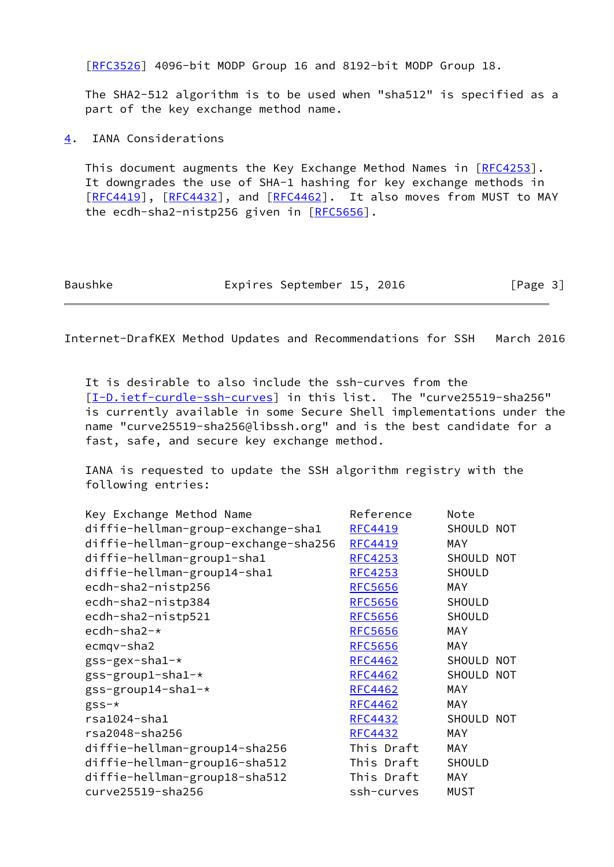[\[RFC3526](https://datatracker.ietf.org/doc/pdf/rfc3526)] 4096-bit MODP Group 16 and 8192-bit MODP Group 18.

 The SHA2-512 algorithm is to be used when "sha512" is specified as a part of the key exchange method name.

<span id="page-3-0"></span>[4](#page-3-0). IANA Considerations

This document augments the Key Exchange Method Names in [\[RFC4253](https://datatracker.ietf.org/doc/pdf/rfc4253)]. It downgrades the use of SHA-1 hashing for key exchange methods in [\[RFC4419](https://datatracker.ietf.org/doc/pdf/rfc4419)], [[RFC4432\]](https://datatracker.ietf.org/doc/pdf/rfc4432), and [[RFC4462](https://datatracker.ietf.org/doc/pdf/rfc4462)]. It also moves from MUST to MAY the ecdh-sha2-nistp256 given in [\[RFC5656](https://datatracker.ietf.org/doc/pdf/rfc5656)].

Internet-DrafKEX Method Updates and Recommendations for SSH March 2016

 It is desirable to also include the ssh-curves from the [\[I-D.ietf-curdle-ssh-curves\]](#page-6-0) in this list. The "curve25519-sha256" is currently available in some Secure Shell implementations under the name "curve25519-sha256@libssh.org" and is the best candidate for a fast, safe, and secure key exchange method.

 IANA is requested to update the SSH algorithm registry with the following entries:

| Key Exchange Method Name             | Reference      | Note          |  |
|--------------------------------------|----------------|---------------|--|
| diffie-hellman-group-exchange-sha1   | <b>RFC4419</b> | SHOULD NOT    |  |
| diffie-hellman-group-exchange-sha256 | <b>RFC4419</b> | <b>MAY</b>    |  |
| diffie-hellman-group1-sha1           | <b>RFC4253</b> | SHOULD NOT    |  |
| diffie-hellman-group14-sha1          | <b>RFC4253</b> | <b>SHOULD</b> |  |
| ecdh-sha2-nistp256                   | <b>RFC5656</b> | <b>MAY</b>    |  |
| ecdh-sha2-nistp384                   | <b>RFC5656</b> | <b>SHOULD</b> |  |
| ecdh-sha2-nistp521                   | <b>RFC5656</b> | SHOULD        |  |
| ecdh-sha2-*                          | <b>RFC5656</b> | MAY           |  |
| ecmgv-sha2                           | <b>RFC5656</b> | MAY           |  |
| $gss-gex-sha1-*$                     | RFC4462        | SHOULD NOT    |  |
| $gss-group1-sha1-*$                  | <b>RFC4462</b> | SHOULD NOT    |  |
| gss-group14-sha1-*                   | <b>RFC4462</b> | MAY           |  |
| $gss-k$                              | <b>RFC4462</b> | <b>MAY</b>    |  |
| $rsa1024 - sha1$                     | <b>RFC4432</b> | SHOULD NOT    |  |
| rsa2048-sha256                       | <b>RFC4432</b> | MAY           |  |
| diffie-hellman-group14-sha256        | This Draft     | MAY           |  |
| diffie-hellman-group16-sha512        | This Draft     | SHOULD        |  |
| diffie-hellman-group18-sha512        | This Draft     | <b>MAY</b>    |  |
| curve25519-sha256                    | ssh-curves     | <b>MUST</b>   |  |
|                                      |                |               |  |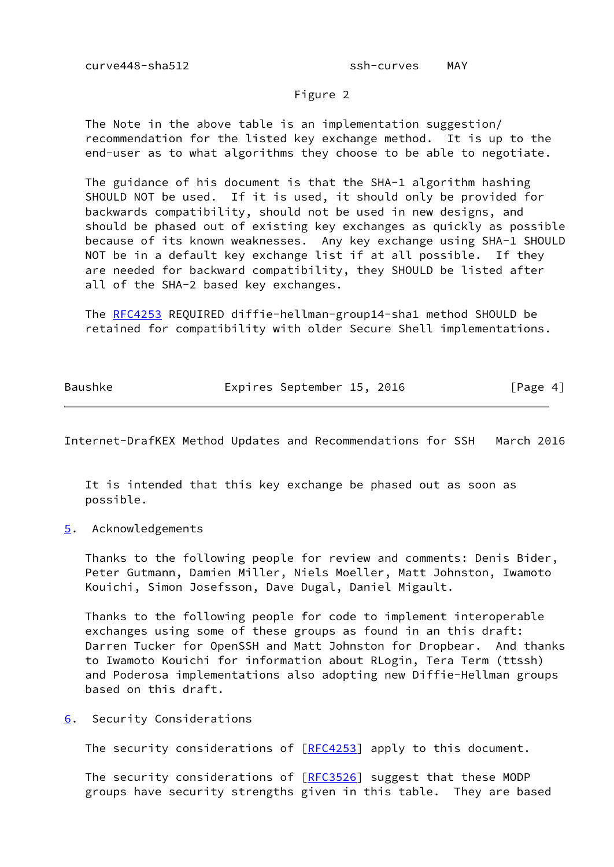## Figure 2

 The Note in the above table is an implementation suggestion/ recommendation for the listed key exchange method. It is up to the end-user as to what algorithms they choose to be able to negotiate.

 The guidance of his document is that the SHA-1 algorithm hashing SHOULD NOT be used. If it is used, it should only be provided for backwards compatibility, should not be used in new designs, and should be phased out of existing key exchanges as quickly as possible because of its known weaknesses. Any key exchange using SHA-1 SHOULD NOT be in a default key exchange list if at all possible. If they are needed for backward compatibility, they SHOULD be listed after all of the SHA-2 based key exchanges.

 The [RFC4253](https://datatracker.ietf.org/doc/pdf/rfc4253) REQUIRED diffie-hellman-group14-sha1 method SHOULD be retained for compatibility with older Secure Shell implementations.

Baushke **Expires September 15, 2016** [Page 4]

Internet-DrafKEX Method Updates and Recommendations for SSH March 2016

 It is intended that this key exchange be phased out as soon as possible.

<span id="page-4-0"></span>[5](#page-4-0). Acknowledgements

 Thanks to the following people for review and comments: Denis Bider, Peter Gutmann, Damien Miller, Niels Moeller, Matt Johnston, Iwamoto Kouichi, Simon Josefsson, Dave Dugal, Daniel Migault.

 Thanks to the following people for code to implement interoperable exchanges using some of these groups as found in an this draft: Darren Tucker for OpenSSH and Matt Johnston for Dropbear. And thanks to Iwamoto Kouichi for information about RLogin, Tera Term (ttssh) and Poderosa implementations also adopting new Diffie-Hellman groups based on this draft.

<span id="page-4-1"></span>[6](#page-4-1). Security Considerations

The security considerations of [\[RFC4253](https://datatracker.ietf.org/doc/pdf/rfc4253)] apply to this document.

The security considerations of [\[RFC3526](https://datatracker.ietf.org/doc/pdf/rfc3526)] suggest that these MODP groups have security strengths given in this table. They are based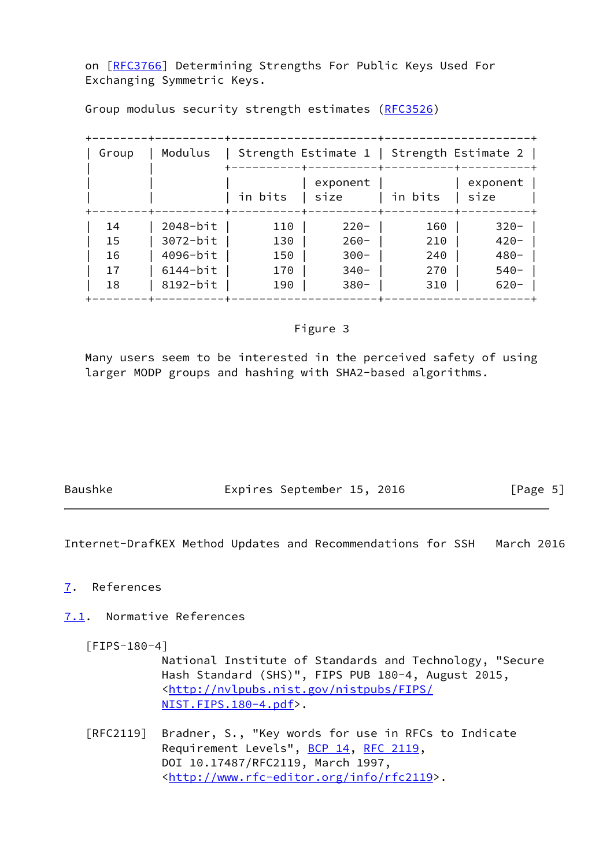on [[RFC3766\]](https://datatracker.ietf.org/doc/pdf/rfc3766) Determining Strengths For Public Keys Used For Exchanging Symmetric Keys.

Group modulus security strength estimates ([RFC3526](https://datatracker.ietf.org/doc/pdf/rfc3526))

| Group | Modulus      |         | Strength Estimate 1   Strength Estimate 2 |         |                  |
|-------|--------------|---------|-------------------------------------------|---------|------------------|
|       |              | in bits | exponent<br>size                          | in bits | exponent<br>size |
| 14    | $2048-bit$   | 110     | $220 -$                                   | 160     | $320 -$          |
| 15    | $3072 - bit$ | 130     | $260 -$                                   | 210     | $420 -$          |
| 16    | 4096-bit     | 150     | $300 -$                                   | 240     | $480 -$          |
| 17    | $6144-bit$   | 170     | $340-$                                    | 270     | $540-$           |
| 18    | 8192-bit     | 190     | $380 -$                                   | 310     | $620 -$          |

## Figure 3

 Many users seem to be interested in the perceived safety of using larger MODP groups and hashing with SHA2-based algorithms.

Baushke Expires September 15, 2016 [Page 5]

Internet-DrafKEX Method Updates and Recommendations for SSH March 2016

## <span id="page-5-1"></span>[7](#page-5-1). References

<span id="page-5-2"></span>[7.1](#page-5-2). Normative References

<span id="page-5-0"></span>[FIPS-180-4]

 National Institute of Standards and Technology, "Secure Hash Standard (SHS)", FIPS PUB 180-4, August 2015, <[http://nvlpubs.nist.gov/nistpubs/FIPS/](http://nvlpubs.nist.gov/nistpubs/FIPS/NIST.FIPS.180-4.pdf) [NIST.FIPS.180-4.pdf](http://nvlpubs.nist.gov/nistpubs/FIPS/NIST.FIPS.180-4.pdf)>.

 [RFC2119] Bradner, S., "Key words for use in RFCs to Indicate Requirement Levels", [BCP 14](https://datatracker.ietf.org/doc/pdf/bcp14), [RFC 2119](https://datatracker.ietf.org/doc/pdf/rfc2119), DOI 10.17487/RFC2119, March 1997, <<http://www.rfc-editor.org/info/rfc2119>>.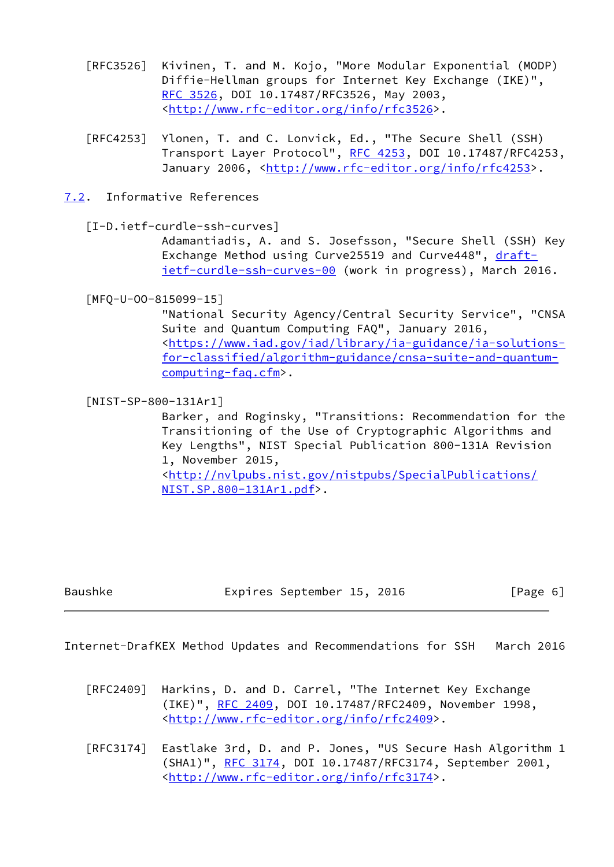- [RFC3526] Kivinen, T. and M. Kojo, "More Modular Exponential (MODP) Diffie-Hellman groups for Internet Key Exchange (IKE)", [RFC 3526,](https://datatracker.ietf.org/doc/pdf/rfc3526) DOI 10.17487/RFC3526, May 2003, <<http://www.rfc-editor.org/info/rfc3526>>.
- [RFC4253] Ylonen, T. and C. Lonvick, Ed., "The Secure Shell (SSH) Transport Layer Protocol", [RFC 4253](https://datatracker.ietf.org/doc/pdf/rfc4253), DOI 10.17487/RFC4253, January 2006, [<http://www.rfc-editor.org/info/rfc4253](http://www.rfc-editor.org/info/rfc4253)>.
- <span id="page-6-3"></span>[7.2](#page-6-3). Informative References

<span id="page-6-0"></span>[I-D.ietf-curdle-ssh-curves]

 Adamantiadis, A. and S. Josefsson, "Secure Shell (SSH) Key Exchange Method using Curve25519 and Curve448", [draft](https://datatracker.ietf.org/doc/pdf/draft-ietf-curdle-ssh-curves-00) [ietf-curdle-ssh-curves-00](https://datatracker.ietf.org/doc/pdf/draft-ietf-curdle-ssh-curves-00) (work in progress), March 2016.

<span id="page-6-2"></span>[MFQ-U-OO-815099-15]

 "National Security Agency/Central Security Service", "CNSA Suite and Quantum Computing FAQ", January 2016, <[https://www.iad.gov/iad/library/ia-guidance/ia-solutions](https://www.iad.gov/iad/library/ia-guidance/ia-solutions-for-classified/algorithm-guidance/cnsa-suite-and-quantum-computing-faq.cfm) [for-classified/algorithm-guidance/cnsa-suite-and-quantum](https://www.iad.gov/iad/library/ia-guidance/ia-solutions-for-classified/algorithm-guidance/cnsa-suite-and-quantum-computing-faq.cfm) [computing-faq.cfm>](https://www.iad.gov/iad/library/ia-guidance/ia-solutions-for-classified/algorithm-guidance/cnsa-suite-and-quantum-computing-faq.cfm).

<span id="page-6-1"></span>[NIST-SP-800-131Ar1]

 Barker, and Roginsky, "Transitions: Recommendation for the Transitioning of the Use of Cryptographic Algorithms and Key Lengths", NIST Special Publication 800-131A Revision 1, November 2015, <[http://nvlpubs.nist.gov/nistpubs/SpecialPublications/](http://nvlpubs.nist.gov/nistpubs/SpecialPublications/NIST.SP.800-131Ar1.pdf) [NIST.SP.800-131Ar1.pdf](http://nvlpubs.nist.gov/nistpubs/SpecialPublications/NIST.SP.800-131Ar1.pdf)>.

Baushke Expires September 15, 2016 [Page 6]

Internet-DrafKEX Method Updates and Recommendations for SSH March 2016

- [RFC2409] Harkins, D. and D. Carrel, "The Internet Key Exchange (IKE)", [RFC 2409,](https://datatracker.ietf.org/doc/pdf/rfc2409) DOI 10.17487/RFC2409, November 1998, <<http://www.rfc-editor.org/info/rfc2409>>.
- [RFC3174] Eastlake 3rd, D. and P. Jones, "US Secure Hash Algorithm 1 (SHA1)", [RFC 3174,](https://datatracker.ietf.org/doc/pdf/rfc3174) DOI 10.17487/RFC3174, September 2001, <<http://www.rfc-editor.org/info/rfc3174>>.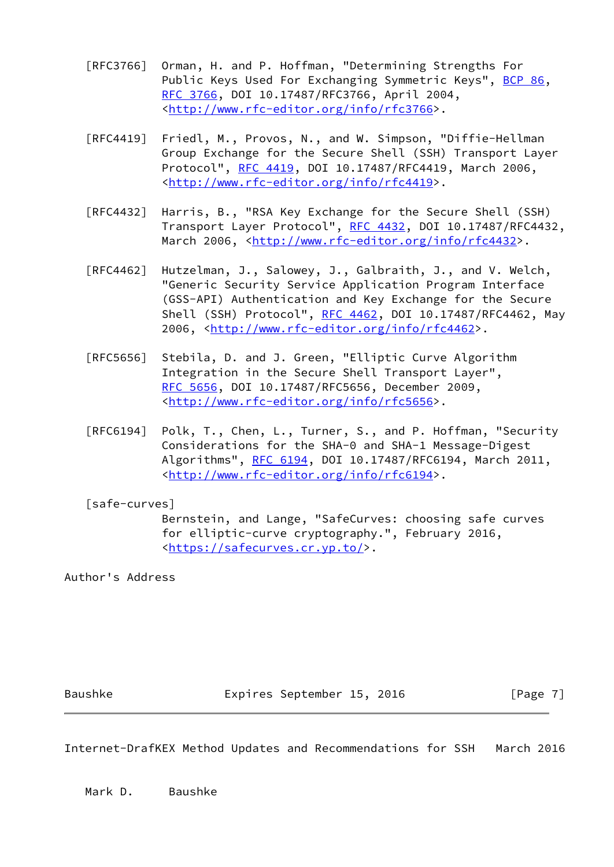- [RFC3766] Orman, H. and P. Hoffman, "Determining Strengths For Public Keys Used For Exchanging Symmetric Keys", [BCP 86](https://datatracker.ietf.org/doc/pdf/bcp86), [RFC 3766,](https://datatracker.ietf.org/doc/pdf/rfc3766) DOI 10.17487/RFC3766, April 2004, <<http://www.rfc-editor.org/info/rfc3766>>.
- [RFC4419] Friedl, M., Provos, N., and W. Simpson, "Diffie-Hellman Group Exchange for the Secure Shell (SSH) Transport Layer Protocol", [RFC 4419](https://datatracker.ietf.org/doc/pdf/rfc4419), DOI 10.17487/RFC4419, March 2006, <<http://www.rfc-editor.org/info/rfc4419>>.
- [RFC4432] Harris, B., "RSA Key Exchange for the Secure Shell (SSH) Transport Layer Protocol", [RFC 4432](https://datatracker.ietf.org/doc/pdf/rfc4432), DOI 10.17487/RFC4432, March 2006, [<http://www.rfc-editor.org/info/rfc4432](http://www.rfc-editor.org/info/rfc4432)>.
- [RFC4462] Hutzelman, J., Salowey, J., Galbraith, J., and V. Welch, "Generic Security Service Application Program Interface (GSS-API) Authentication and Key Exchange for the Secure Shell (SSH) Protocol", [RFC 4462](https://datatracker.ietf.org/doc/pdf/rfc4462), DOI 10.17487/RFC4462, May 2006, [<http://www.rfc-editor.org/info/rfc4462](http://www.rfc-editor.org/info/rfc4462)>.
- [RFC5656] Stebila, D. and J. Green, "Elliptic Curve Algorithm Integration in the Secure Shell Transport Layer", [RFC 5656,](https://datatracker.ietf.org/doc/pdf/rfc5656) DOI 10.17487/RFC5656, December 2009, <<http://www.rfc-editor.org/info/rfc5656>>.
- [RFC6194] Polk, T., Chen, L., Turner, S., and P. Hoffman, "Security Considerations for the SHA-0 and SHA-1 Message-Digest Algorithms", [RFC 6194](https://datatracker.ietf.org/doc/pdf/rfc6194), DOI 10.17487/RFC6194, March 2011, <<http://www.rfc-editor.org/info/rfc6194>>.

<span id="page-7-0"></span>[safe-curves]

 Bernstein, and Lange, "SafeCurves: choosing safe curves for elliptic-curve cryptography.", February 2016, <[https://safecurves.cr.yp.to/>](https://safecurves.cr.yp.to/).

Author's Address

Baushke Expires September 15, 2016 [Page 7]

Internet-DrafKEX Method Updates and Recommendations for SSH March 2016

Mark D. Baushke